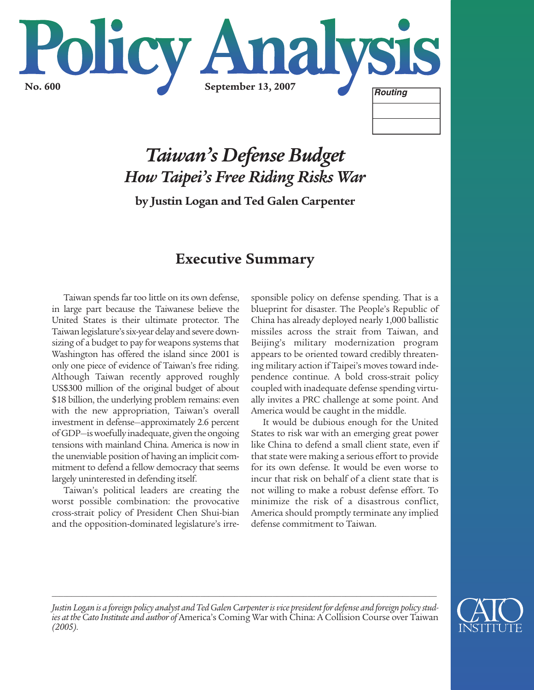

# *Taiwan's Defense Budget How Taipei's Free Riding Risks War*

**by Justin Logan and Ted Galen Carpenter**

## **Executive Summary**

Taiwan spends far too little on its own defense, in large part because the Taiwanese believe the United States is their ultimate protector. The Taiwan legislature's six-year delay and severe downsizing of a budget to pay for weapons systems that Washington has offered the island since 2001 is only one piece of evidence of Taiwan's free riding. Although Taiwan recently approved roughly US\$300 million of the original budget of about \$18 billion, the underlying problem remains: even with the new appropriation, Taiwan's overall investment in defense—approximately 2.6 percent of GDP—is woefully inadequate, given the ongoing tensions with mainland China. America is now in the unenviable position of having an implicit commitment to defend a fellow democracy that seems largely uninterested in defending itself.

Taiwan's political leaders are creating the worst possible combination: the provocative cross-strait policy of President Chen Shui-bian and the opposition-dominated legislature's irresponsible policy on defense spending. That is a blueprint for disaster. The People's Republic of China has already deployed nearly 1,000 ballistic missiles across the strait from Taiwan, and Beijing's military modernization program appears to be oriented toward credibly threatening military action if Taipei's moves toward independence continue. A bold cross-strait policy coupled with inadequate defense spending virtually invites a PRC challenge at some point. And America would be caught in the middle.

It would be dubious enough for the United States to risk war with an emerging great power like China to defend a small client state, even if that state were making a serious effort to provide for its own defense. It would be even worse to incur that risk on behalf of a client state that is not willing to make a robust defense effort. To minimize the risk of a disastrous conflict, America should promptly terminate any implied defense commitment to Taiwan.



*Justin Logan is a foreign policy analyst and Ted Galen Carpenter is vice president for defense and foreign policy studies at the Cato Institute and author of* America's Coming War with China: A Collision Course over Taiwan *(2005).* 

*\_\_\_\_\_\_\_\_\_\_\_\_\_\_\_\_\_\_\_\_\_\_\_\_\_\_\_\_\_\_\_\_\_\_\_\_\_\_\_\_\_\_\_\_\_\_\_\_\_\_\_\_\_\_\_\_\_\_\_\_\_\_\_\_\_\_\_\_\_\_\_\_\_\_\_\_\_\_\_\_\_\_\_\_\_\_\_\_\_\_\_\_\_\_\_\_\_\_\_\_\_*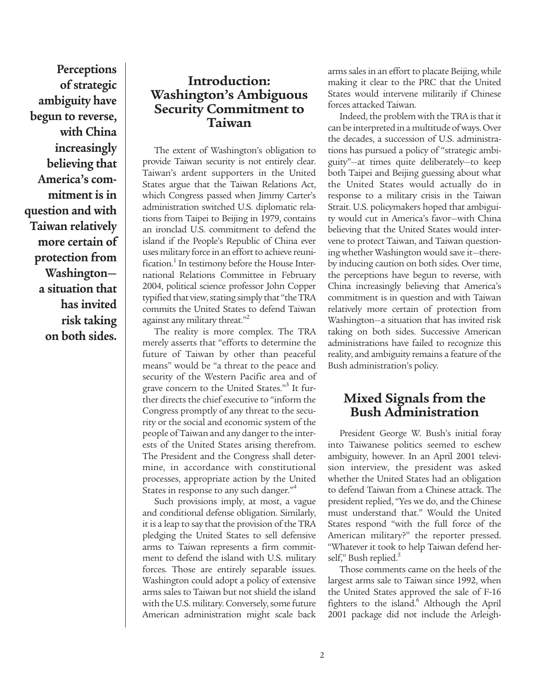**Perceptions of strategic ambiguity have begun to reverse, with China increasingly believing that America's commitment is in question and with Taiwan relatively more certain of protection from Washington a situation that has invited risk taking on both sides.**

### **Introduction: Washington's Ambiguous Security Commitment to Taiwan**

The extent of Washington's obligation to provide Taiwan security is not entirely clear. Taiwan's ardent supporters in the United States argue that the Taiwan Relations Act, which Congress passed when Jimmy Carter's administration switched U.S. diplomatic relations from Taipei to Beijing in 1979, contains an ironclad U.S. commitment to defend the island if the People's Republic of China ever uses military force in an effort to achieve reunification.<sup>1</sup> In testimony before the House International Relations Committee in February 2004, political science professor John Copper typified that view, stating simply that "the TRA commits the United States to defend Taiwan against any military threat."<sup>2</sup>

The reality is more complex. The TRA merely asserts that "efforts to determine the future of Taiwan by other than peaceful means" would be "a threat to the peace and security of the Western Pacific area and of grave concern to the United States."<sup>3</sup> It further directs the chief executive to "inform the Congress promptly of any threat to the security or the social and economic system of the people of Taiwan and any danger to the interests of the United States arising therefrom. The President and the Congress shall determine, in accordance with constitutional processes, appropriate action by the United States in response to any such danger."<sup>4</sup>

Such provisions imply, at most, a vague and conditional defense obligation. Similarly, it is a leap to say that the provision of the TRA pledging the United States to sell defensive arms to Taiwan represents a firm commitment to defend the island with U.S. military forces. Those are entirely separable issues. Washington could adopt a policy of extensive arms sales to Taiwan but not shield the island with the U.S. military. Conversely, some future American administration might scale back

arms sales in an effort to placate Beijing, while making it clear to the PRC that the United States would intervene militarily if Chinese forces attacked Taiwan.

Indeed, the problem with the TRA is that it can be interpreted in a multitude of ways. Over the decades, a succession of U.S. administrations has pursued a policy of "strategic ambiguity"—at times quite deliberately—to keep both Taipei and Beijing guessing about what the United States would actually do in response to a military crisis in the Taiwan Strait. U.S. policymakers hoped that ambiguity would cut in America's favor—with China believing that the United States would intervene to protect Taiwan, and Taiwan questioning whether Washington would save it—thereby inducing caution on both sides. Over time, the perceptions have begun to reverse, with China increasingly believing that America's commitment is in question and with Taiwan relatively more certain of protection from Washington—a situation that has invited risk taking on both sides. Successive American administrations have failed to recognize this reality, and ambiguity remains a feature of the Bush administration's policy.

### **Mixed Signals from the Bush Administration**

President George W. Bush's initial foray into Taiwanese politics seemed to eschew ambiguity, however. In an April 2001 television interview, the president was asked whether the United States had an obligation to defend Taiwan from a Chinese attack. The president replied, "Yes we do, and the Chinese must understand that." Would the United States respond "with the full force of the American military?" the reporter pressed. "Whatever it took to help Taiwan defend herself," Bush replied.

Those comments came on the heels of the largest arms sale to Taiwan since 1992, when the United States approved the sale of F-16 fighters to the island.<sup>6</sup> Although the April 2001 package did not include the Arleigh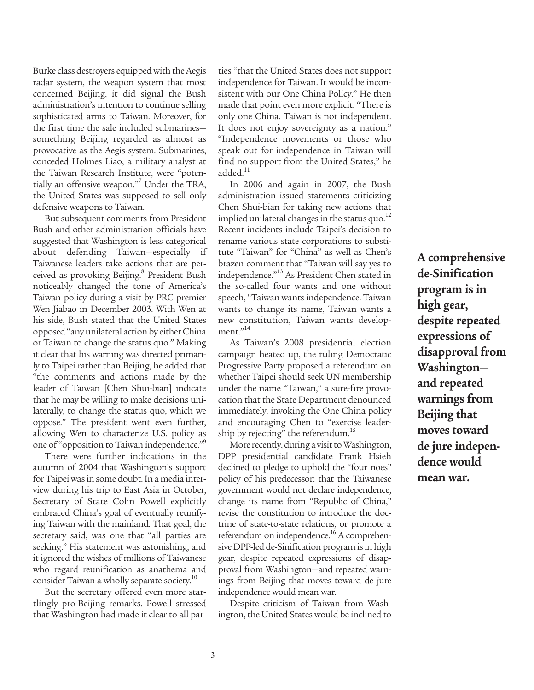Burke class destroyers equipped with the Aegis radar system, the weapon system that most concerned Beijing, it did signal the Bush administration's intention to continue selling sophisticated arms to Taiwan. Moreover, for the first time the sale included submarines something Beijing regarded as almost as provocative as the Aegis system. Submarines, conceded Holmes Liao, a military analyst at the Taiwan Research Institute, were "potentially an offensive weapon."<sup>7</sup> Under the TRA, the United States was supposed to sell only defensive weapons to Taiwan.

But subsequent comments from President Bush and other administration officials have suggested that Washington is less categorical about defending Taiwan—especially if Taiwanese leaders take actions that are perceived as provoking Beijing.<sup>8</sup> President Bush noticeably changed the tone of America's Taiwan policy during a visit by PRC premier Wen Jiabao in December 2003. With Wen at his side, Bush stated that the United States opposed "any unilateral action by either China or Taiwan to change the status quo." Making it clear that his warning was directed primarily to Taipei rather than Beijing, he added that "the comments and actions made by the leader of Taiwan [Chen Shui-bian] indicate that he may be willing to make decisions unilaterally, to change the status quo, which we oppose." The president went even further, allowing Wen to characterize U.S. policy as one of "opposition to Taiwan independence."<sup>9</sup>

There were further indications in the autumn of 2004 that Washington's support for Taipei was in some doubt. In a media interview during his trip to East Asia in October, Secretary of State Colin Powell explicitly embraced China's goal of eventually reunifying Taiwan with the mainland. That goal, the secretary said, was one that "all parties are seeking." His statement was astonishing, and it ignored the wishes of millions of Taiwanese who regard reunification as anathema and consider Taiwan a wholly separate society.<sup>10</sup>

But the secretary offered even more startlingly pro-Beijing remarks. Powell stressed that Washington had made it clear to all par-

ties "that the United States does not support independence for Taiwan. It would be inconsistent with our One China Policy." He then made that point even more explicit. "There is only one China. Taiwan is not independent. It does not enjoy sovereignty as a nation." "Independence movements or those who speak out for independence in Taiwan will find no support from the United States," he  $added.<sup>11</sup>$ 

In 2006 and again in 2007, the Bush administration issued statements criticizing Chen Shui-bian for taking new actions that implied unilateral changes in the status quo. $^{12}$ Recent incidents include Taipei's decision to rename various state corporations to substitute "Taiwan" for "China" as well as Chen's brazen comment that "Taiwan will say yes to independence."<sup>13</sup> As President Chen stated in the so-called four wants and one without speech, "Taiwan wants independence. Taiwan wants to change its name, Taiwan wants a new constitution, Taiwan wants development."<sup>14</sup>

As Taiwan's 2008 presidential election campaign heated up, the ruling Democratic Progressive Party proposed a referendum on whether Taipei should seek UN membership under the name "Taiwan," a sure-fire provocation that the State Department denounced immediately, invoking the One China policy and encouraging Chen to "exercise leadership by rejecting" the referendum.<sup>15</sup>

More recently, during a visit to Washington, DPP presidential candidate Frank Hsieh declined to pledge to uphold the "four noes" policy of his predecessor: that the Taiwanese government would not declare independence, change its name from "Republic of China," revise the constitution to introduce the doctrine of state-to-state relations, or promote a referendum on independence.<sup>16</sup> A comprehensive DPP-led de-Sinification program is in high gear, despite repeated expressions of disapproval from Washington—and repeated warnings from Beijing that moves toward de jure independence would mean war.

Despite criticism of Taiwan from Washington, the United States would be inclined to

**A comprehensive de-Sinification program is in high gear, despite repeated expressions of disapproval from Washington and repeated warnings from Beijing that moves toward de jure independence would mean war.**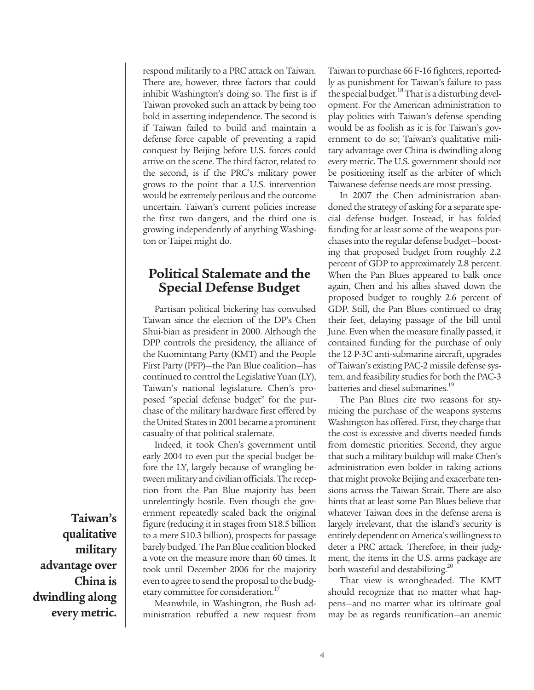respond militarily to a PRC attack on Taiwan. There are, however, three factors that could inhibit Washington's doing so. The first is if Taiwan provoked such an attack by being too bold in asserting independence. The second is if Taiwan failed to build and maintain a defense force capable of preventing a rapid conquest by Beijing before U.S. forces could arrive on the scene. The third factor, related to the second, is if the PRC's military power grows to the point that a U.S. intervention would be extremely perilous and the outcome uncertain. Taiwan's current policies increase the first two dangers, and the third one is growing independently of anything Washington or Taipei might do.

#### **Political Stalemate and the Special Defense Budget**

Partisan political bickering has convulsed Taiwan since the election of the DP's Chen Shui-bian as president in 2000. Although the DPP controls the presidency, the alliance of the Kuomintang Party (KMT) and the People First Party (PFP)—the Pan Blue coalition—has continued to control the Legislative Yuan (LY), Taiwan's national legislature. Chen's proposed "special defense budget" for the purchase of the military hardware first offered by the United States in 2001 became a prominent casualty of that political stalemate.

Indeed, it took Chen's government until early 2004 to even put the special budget before the LY, largely because of wrangling between military and civilian officials. The reception from the Pan Blue majority has been unrelentingly hostile. Even though the government repeatedly scaled back the original figure (reducing it in stages from \$18.5 billion to a mere \$10.3 billion), prospects for passage barely budged. The Pan Blue coalition blocked a vote on the measure more than 60 times. It took until December 2006 for the majority even to agree to send the proposal to the budgetary committee for consideration.<sup>17</sup>

Meanwhile, in Washington, the Bush administration rebuffed a new request from Taiwan to purchase 66 F-16 fighters, reportedly as punishment for Taiwan's failure to pass the special budget.<sup>18</sup> That is a disturbing development. For the American administration to play politics with Taiwan's defense spending would be as foolish as it is for Taiwan's government to do so; Taiwan's qualitative military advantage over China is dwindling along every metric. The U.S. government should not be positioning itself as the arbiter of which Taiwanese defense needs are most pressing.

In 2007 the Chen administration abandoned the strategy of asking for a separate special defense budget. Instead, it has folded funding for at least some of the weapons purchases into the regular defense budget—boosting that proposed budget from roughly 2.2 percent of GDP to approximately 2.8 percent. When the Pan Blues appeared to balk once again, Chen and his allies shaved down the proposed budget to roughly 2.6 percent of GDP. Still, the Pan Blues continued to drag their feet, delaying passage of the bill until June. Even when the measure finally passed, it contained funding for the purchase of only the 12 P-3C anti-submarine aircraft, upgrades of Taiwan's existing PAC-2 missile defense system, and feasibility studies for both the PAC-3 batteries and diesel submarines.<sup>19</sup>

The Pan Blues cite two reasons for stymieing the purchase of the weapons systems Washington has offered. First, they charge that the cost is excessive and diverts needed funds from domestic priorities. Second, they argue that such a military buildup will make Chen's administration even bolder in taking actions that might provoke Beijing and exacerbate tensions across the Taiwan Strait. There are also hints that at least some Pan Blues believe that whatever Taiwan does in the defense arena is largely irrelevant, that the island's security is entirely dependent on America's willingness to deter a PRC attack. Therefore, in their judgment, the items in the U.S. arms package are both wasteful and destabilizing.<sup>20</sup>

That view is wrongheaded. The KMT should recognize that no matter what happens—and no matter what its ultimate goal may be as regards reunification—an anemic

**Taiwan's qualitative military advantage over China is dwindling along every metric.**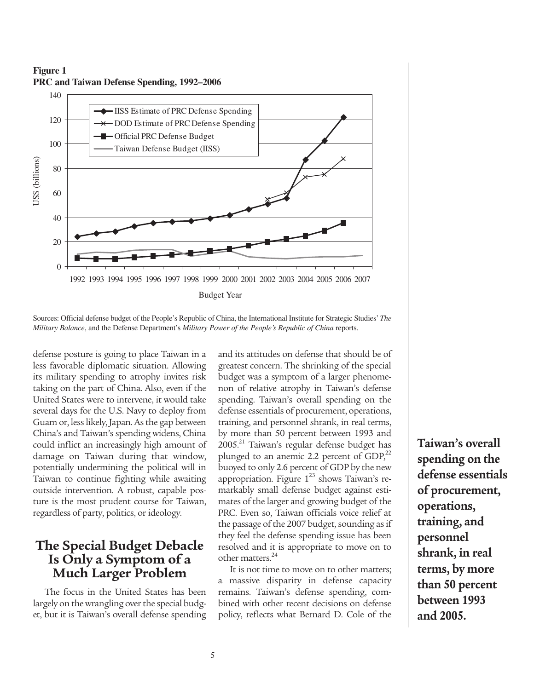



Sources: Official defense budget of the People's Republic of China, the International Institute for Strategic Studies'*The*

defense posture is going to place Taiwan in a less favorable diplomatic situation. Allowing its military spending to atrophy invites risk taking on the part of China. Also, even if the United States were to intervene, it would take several days for the U.S. Navy to deploy from Guam or, less likely, Japan. As the gap between China's and Taiwan's spending widens, China could inflict an increasingly high amount of damage on Taiwan during that window, potentially undermining the political will in Taiwan to continue fighting while awaiting outside intervention. A robust, capable posture is the most prudent course for Taiwan, regardless of party, politics, or ideology.

#### **The Special Budget Debacle Is Only a Symptom of a Much Larger Problem**

The focus in the United States has been largely on the wrangling over the special budget, but it is Taiwan's overall defense spending

and its attitudes on defense that should be of greatest concern. The shrinking of the special budget was a symptom of a larger phenomenon of relative atrophy in Taiwan's defense spending. Taiwan's overall spending on the defense essentials of procurement, operations, training, and personnel shrank, in real terms, by more than 50 percent between 1993 and 2005.<sup>21</sup> Taiwan's regular defense budget has plunged to an anemic 2.2 percent of  $GDP<sub>2</sub><sup>22</sup>$ buoyed to only 2.6 percent of GDP by the new appropriation. Figure  $1^{23}$  shows Taiwan's remarkably small defense budget against estimates of the larger and growing budget of the PRC. Even so, Taiwan officials voice relief at the passage of the 2007 budget, sounding as if they feel the defense spending issue has been resolved and it is appropriate to move on to other matters.<sup>24</sup>

It is not time to move on to other matters; a massive disparity in defense capacity remains. Taiwan's defense spending, combined with other recent decisions on defense policy, reflects what Bernard D. Cole of the **Taiwan's overall spending on the defense essentials of procurement, operations, training, and personnel shrank, in real terms, by more than 50 percent between 1993 and 2005.**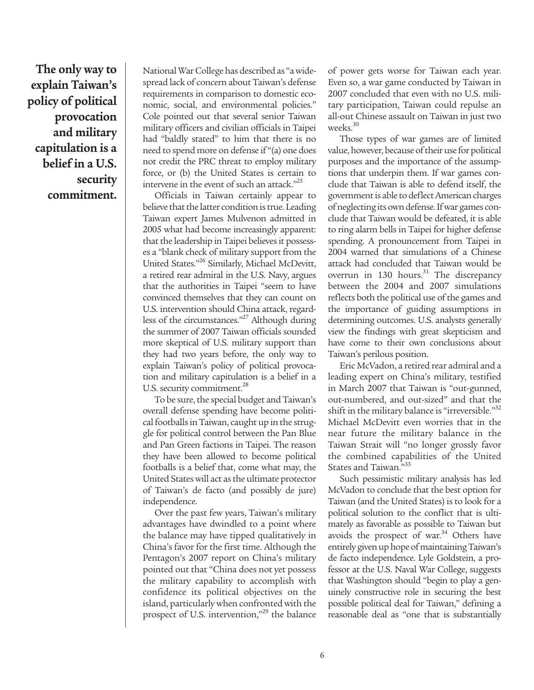**The only way to explain Taiwan's policy of political provocation and military capitulation is a belief in a U.S. security commitment.**

National War College has described as "a widespread lack of concern about Taiwan's defense requirements in comparison to domestic economic, social, and environmental policies." Cole pointed out that several senior Taiwan military officers and civilian officials in Taipei had "baldly stated" to him that there is no need to spend more on defense if "(a) one does not credit the PRC threat to employ military force, or (b) the United States is certain to intervene in the event of such an attack."<sup>25</sup>

Officials in Taiwan certainly appear to believe that the latter condition is true. Leading Taiwan expert James Mulvenon admitted in 2005 what had become increasingly apparent: that the leadership in Taipei believes it possesses a "blank check of military support from the United States."26 Similarly, Michael McDevitt, a retired rear admiral in the U.S. Navy, argues that the authorities in Taipei "seem to have convinced themselves that they can count on U.S. intervention should China attack, regardless of the circumstances."<sup>27</sup> Although during the summer of 2007 Taiwan officials sounded more skeptical of U.S. military support than they had two years before, the only way to explain Taiwan's policy of political provocation and military capitulation is a belief in a U.S. security commitment.<sup>28</sup>

To be sure, the special budget and Taiwan's overall defense spending have become political footballs in Taiwan, caught up in the struggle for political control between the Pan Blue and Pan Green factions in Taipei. The reason they have been allowed to become political footballs is a belief that, come what may, the United States will act as the ultimate protector of Taiwan's de facto (and possibly de jure) independence.

Over the past few years, Taiwan's military advantages have dwindled to a point where the balance may have tipped qualitatively in China's favor for the first time. Although the Pentagon's 2007 report on China's military pointed out that "China does not yet possess the military capability to accomplish with confidence its political objectives on the island, particularly when confronted with the prospect of U.S. intervention,"<sup>29</sup> the balance

of power gets worse for Taiwan each year. Even so, a war game conducted by Taiwan in 2007 concluded that even with no U.S. military participation, Taiwan could repulse an all-out Chinese assault on Taiwan in just two weeks.<sup>30</sup>

Those types of war games are of limited value, however, because of their use for political purposes and the importance of the assumptions that underpin them. If war games conclude that Taiwan is able to defend itself, the government is able to deflect American charges of neglecting its own defense. If war games conclude that Taiwan would be defeated, it is able to ring alarm bells in Taipei for higher defense spending. A pronouncement from Taipei in 2004 warned that simulations of a Chinese attack had concluded that Taiwan would be overrun in 130 hours. $31$  The discrepancy between the 2004 and 2007 simulations reflects both the political use of the games and the importance of guiding assumptions in determining outcomes. U.S. analysts generally view the findings with great skepticism and have come to their own conclusions about Taiwan's perilous position.

Eric McVadon, a retired rear admiral and a leading expert on China's military, testified in March 2007 that Taiwan is "out-gunned, out-numbered, and out-sized" and that the shift in the military balance is "irreversible."<sup>32</sup> Michael McDevitt even worries that in the near future the military balance in the Taiwan Strait will "no longer grossly favor the combined capabilities of the United States and Taiwan."33

Such pessimistic military analysis has led McVadon to conclude that the best option for Taiwan (and the United States) is to look for a political solution to the conflict that is ultimately as favorable as possible to Taiwan but avoids the prospect of war. $34$  Others have entirely given up hope of maintaining Taiwan's de facto independence. Lyle Goldstein, a professor at the U.S. Naval War College, suggests that Washington should "begin to play a genuinely constructive role in securing the best possible political deal for Taiwan," defining a reasonable deal as "one that is substantially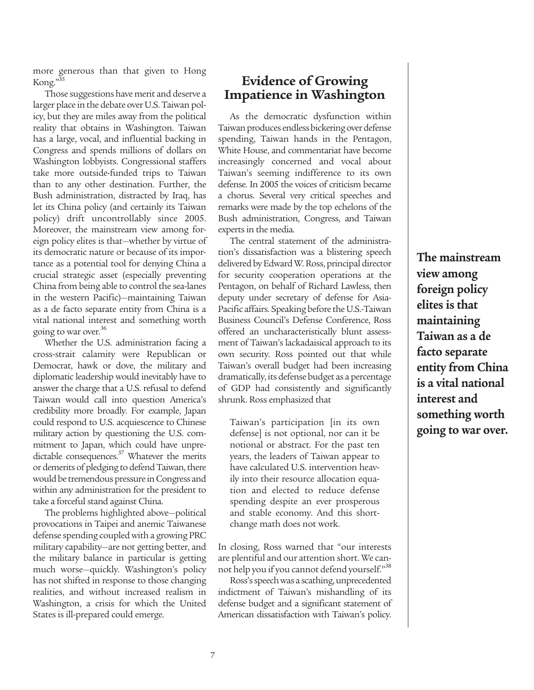more generous than that given to Hong Kong."35

Those suggestions have merit and deserve a larger place in the debate over U.S. Taiwan policy, but they are miles away from the political reality that obtains in Washington. Taiwan has a large, vocal, and influential backing in Congress and spends millions of dollars on Washington lobbyists. Congressional staffers take more outside-funded trips to Taiwan than to any other destination. Further, the Bush administration, distracted by Iraq, has let its China policy (and certainly its Taiwan policy) drift uncontrollably since 2005. Moreover, the mainstream view among foreign policy elites is that—whether by virtue of its democratic nature or because of its importance as a potential tool for denying China a crucial strategic asset (especially preventing China from being able to control the sea-lanes in the western Pacific)—maintaining Taiwan as a de facto separate entity from China is a vital national interest and something worth going to war over.<sup>36</sup>

Whether the U.S. administration facing a cross-strait calamity were Republican or Democrat, hawk or dove, the military and diplomatic leadership would inevitably have to answer the charge that a U.S. refusal to defend Taiwan would call into question America's credibility more broadly. For example, Japan could respond to U.S. acquiescence to Chinese military action by questioning the U.S. commitment to Japan, which could have unpredictable consequences.<sup>37</sup> Whatever the merits or demerits of pledging to defend Taiwan, there would be tremendous pressure in Congress and within any administration for the president to take a forceful stand against China.

The problems highlighted above—political provocations in Taipei and anemic Taiwanese defense spending coupled with a growing PRC military capability—are not getting better, and the military balance in particular is getting much worse—quickly. Washington's policy has not shifted in response to those changing realities, and without increased realism in Washington, a crisis for which the United States is ill-prepared could emerge.

#### **Evidence of Growing Impatience in Washington**

As the democratic dysfunction within Taiwan produces endless bickering over defense spending, Taiwan hands in the Pentagon, White House, and commentariat have become increasingly concerned and vocal about Taiwan's seeming indifference to its own defense. In 2005 the voices of criticism became a chorus. Several very critical speeches and remarks were made by the top echelons of the Bush administration, Congress, and Taiwan experts in the media.

The central statement of the administration's dissatisfaction was a blistering speech delivered by Edward W. Ross, principal director for security cooperation operations at the Pentagon, on behalf of Richard Lawless, then deputy under secretary of defense for Asia-Pacific affairs. Speaking before the U.S.-Taiwan Business Council's Defense Conference, Ross offered an uncharacteristically blunt assessment of Taiwan's lackadaisical approach to its own security. Ross pointed out that while Taiwan's overall budget had been increasing dramatically, its defense budget as a percentage of GDP had consistently and significantly shrunk. Ross emphasized that

Taiwan's participation [in its own defense] is not optional, nor can it be notional or abstract. For the past ten years, the leaders of Taiwan appear to have calculated U.S. intervention heavily into their resource allocation equation and elected to reduce defense spending despite an ever prosperous and stable economy. And this shortchange math does not work.

In closing, Ross warned that "our interests are plentiful and our attention short. We cannot help you if you cannot defend yourself."38

Ross's speech was a scathing, unprecedented indictment of Taiwan's mishandling of its defense budget and a significant statement of American dissatisfaction with Taiwan's policy.

**The mainstream view among foreign policy elites is that maintaining Taiwan as a de facto separate entity from China is a vital national interest and something worth going to war over.**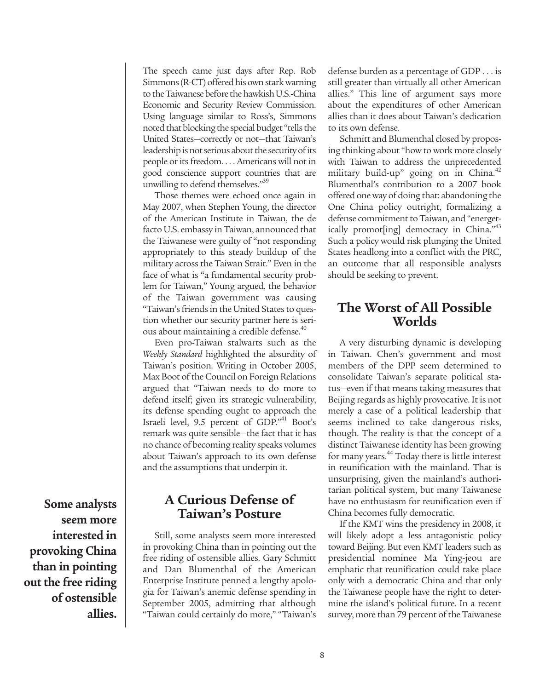The speech came just days after Rep. Rob Simmons (R-CT) offered his own stark warning to the Taiwanese before the hawkish U.S.-China Economic and Security Review Commission. Using language similar to Ross's, Simmons noted that blocking the special budget "tells the United States—correctly or not—that Taiwan's leadership is not serious about the security of its people or its freedom. . . . Americans will not in good conscience support countries that are unwilling to defend themselves."<sup>39</sup>

Those themes were echoed once again in May 2007, when Stephen Young, the director of the American Institute in Taiwan, the de facto U.S. embassy in Taiwan, announced that the Taiwanese were guilty of "not responding appropriately to this steady buildup of the military across the Taiwan Strait." Even in the face of what is "a fundamental security problem for Taiwan," Young argued, the behavior of the Taiwan government was causing "Taiwan's friends in the United States to question whether our security partner here is serious about maintaining a credible defense.<sup>40</sup>

Even pro-Taiwan stalwarts such as the *Weekly Standard* highlighted the absurdity of Taiwan's position. Writing in October 2005, Max Boot of the Council on Foreign Relations argued that "Taiwan needs to do more to defend itself; given its strategic vulnerability, its defense spending ought to approach the Israeli level, 9.5 percent of GDP."41 Boot's remark was quite sensible—the fact that it has no chance of becoming reality speaks volumes about Taiwan's approach to its own defense and the assumptions that underpin it.

**A Curious Defense of Taiwan's Posture**

Still, some analysts seem more interested in provoking China than in pointing out the free riding of ostensible allies. Gary Schmitt and Dan Blumenthal of the American Enterprise Institute penned a lengthy apologia for Taiwan's anemic defense spending in September 2005, admitting that although "Taiwan could certainly do more," "Taiwan's defense burden as a percentage of GDP . . . is still greater than virtually all other American allies." This line of argument says more about the expenditures of other American allies than it does about Taiwan's dedication to its own defense.

Schmitt and Blumenthal closed by proposing thinking about "how to work more closely with Taiwan to address the unprecedented military build-up" going on in China.<sup>42</sup> Blumenthal's contribution to a 2007 book offered one way of doing that: abandoning the One China policy outright, formalizing a defense commitment to Taiwan, and "energetically promot[ing] democracy in China."<sup>43</sup> Such a policy would risk plunging the United States headlong into a conflict with the PRC, an outcome that all responsible analysts should be seeking to prevent.

#### **The Worst of All Possible Worlds**

A very disturbing dynamic is developing in Taiwan. Chen's government and most members of the DPP seem determined to consolidate Taiwan's separate political status—even if that means taking measures that Beijing regards as highly provocative. It is not merely a case of a political leadership that seems inclined to take dangerous risks, though. The reality is that the concept of a distinct Taiwanese identity has been growing for many years.44 Today there is little interest in reunification with the mainland. That is unsurprising, given the mainland's authoritarian political system, but many Taiwanese have no enthusiasm for reunification even if China becomes fully democratic.

If the KMT wins the presidency in 2008, it will likely adopt a less antagonistic policy toward Beijing. But even KMT leaders such as presidential nominee Ma Ying-jeou are emphatic that reunification could take place only with a democratic China and that only the Taiwanese people have the right to determine the island's political future. In a recent survey, more than 79 percent of the Taiwanese

**Some analysts seem more interested in provoking China than in pointing out the free riding of ostensible allies.**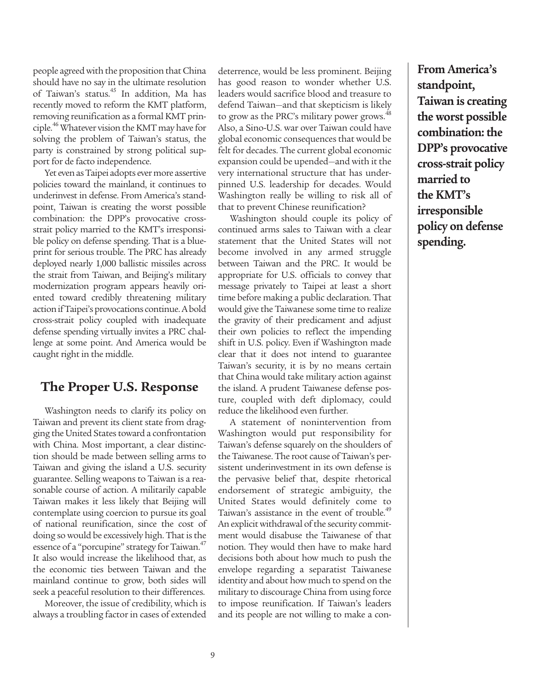people agreed with the proposition that China should have no say in the ultimate resolution of Taiwan's status.<sup>45</sup> In addition, Ma has recently moved to reform the KMT platform, removing reunification as a formal KMT principle.46 Whatever vision the KMT may have for solving the problem of Taiwan's status, the party is constrained by strong political support for de facto independence.

Yet even as Taipei adopts ever more assertive policies toward the mainland, it continues to underinvest in defense. From America's standpoint, Taiwan is creating the worst possible combination: the DPP's provocative crossstrait policy married to the KMT's irresponsible policy on defense spending. That is a blueprint for serious trouble. The PRC has already deployed nearly 1,000 ballistic missiles across the strait from Taiwan, and Beijing's military modernization program appears heavily oriented toward credibly threatening military action if Taipei's provocations continue. A bold cross-strait policy coupled with inadequate defense spending virtually invites a PRC challenge at some point. And America would be caught right in the middle.

#### **The Proper U.S. Response**

Washington needs to clarify its policy on Taiwan and prevent its client state from dragging the United States toward a confrontation with China. Most important, a clear distinction should be made between selling arms to Taiwan and giving the island a U.S. security guarantee. Selling weapons to Taiwan is a reasonable course of action. A militarily capable Taiwan makes it less likely that Beijing will contemplate using coercion to pursue its goal of national reunification, since the cost of doing so would be excessively high. That is the essence of a "porcupine" strategy for Taiwan.<sup>47</sup> It also would increase the likelihood that, as the economic ties between Taiwan and the mainland continue to grow, both sides will seek a peaceful resolution to their differences.

Moreover, the issue of credibility, which is always a troubling factor in cases of extended

deterrence, would be less prominent. Beijing has good reason to wonder whether U.S. leaders would sacrifice blood and treasure to defend Taiwan—and that skepticism is likely to grow as the PRC's military power grows.<sup>48</sup> Also, a Sino-U.S. war over Taiwan could have global economic consequences that would be felt for decades. The current global economic expansion could be upended—and with it the very international structure that has underpinned U.S. leadership for decades. Would Washington really be willing to risk all of that to prevent Chinese reunification?

Washington should couple its policy of continued arms sales to Taiwan with a clear statement that the United States will not become involved in any armed struggle between Taiwan and the PRC. It would be appropriate for U.S. officials to convey that message privately to Taipei at least a short time before making a public declaration. That would give the Taiwanese some time to realize the gravity of their predicament and adjust their own policies to reflect the impending shift in U.S. policy. Even if Washington made clear that it does not intend to guarantee Taiwan's security, it is by no means certain that China would take military action against the island. A prudent Taiwanese defense posture, coupled with deft diplomacy, could reduce the likelihood even further.

A statement of nonintervention from Washington would put responsibility for Taiwan's defense squarely on the shoulders of the Taiwanese. The root cause of Taiwan's persistent underinvestment in its own defense is the pervasive belief that, despite rhetorical endorsement of strategic ambiguity, the United States would definitely come to Taiwan's assistance in the event of trouble.<sup>49</sup> An explicit withdrawal of the security commitment would disabuse the Taiwanese of that notion. They would then have to make hard decisions both about how much to push the envelope regarding a separatist Taiwanese identity and about how much to spend on the military to discourage China from using force to impose reunification. If Taiwan's leaders and its people are not willing to make a con-

9

**From America's standpoint, Taiwan is creating the worst possible combination: the DPP's provocative cross-strait policy married to the KMT's irresponsible policy on defense spending.**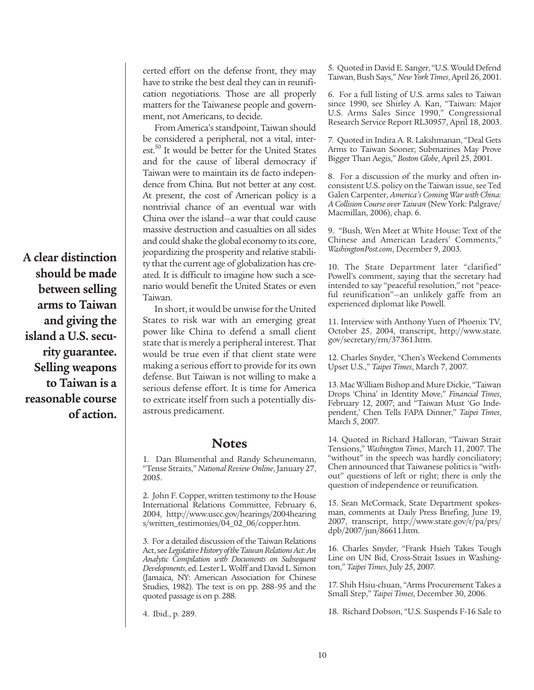**A clear distinction should be made between selling arms to Taiwan and giving the island a U.S. security guarantee. Selling weapons to Taiwan is a reasonable course of action.**

certed effort on the defense front, they may have to strike the best deal they can in reunification negotiations. Those are all properly matters for the Taiwanese people and government, not Americans, to decide.

From America's standpoint, Taiwan should be considered a peripheral, not a vital, interest.<sup>50</sup> It would be better for the United States and for the cause of liberal democracy if Taiwan were to maintain its de facto independence from China. But not better at any cost. At present, the cost of American policy is a nontrivial chance of an eventual war with China over the island—a war that could cause massive destruction and casualties on all sides and could shake the global economy to its core, jeopardizing the prosperity and relative stability that the current age of globalization has created. It is difficult to imagine how such a scenario would benefit the United States or even Taiwan.

In short, it would be unwise for the United States to risk war with an emerging great power like China to defend a small client state that is merely a peripheral interest. That would be true even if that client state were making a serious effort to provide for its own defense. But Taiwan is not willing to make a serious defense effort. It is time for America to extricate itself from such a potentially disastrous predicament.

#### **Notes**

1. Dan Blumenthal and Randy Scheunemann, "Tense Straits," *National Review Online*, January 27, 2005.

2. John F. Copper, written testimony to the House International Relations Committee, February 6, 2004, http://www.uscc.gov/hearings/2004hearing s/written\_testimonies/04\_02\_06/copper.htm.

3. For a detailed discussion of the Taiwan Relations Act, see *Legislative History of the Taiwan Relations Act: An Analytic Compilation with Documents on Subsequent Developments*, ed. Lester L. Wolff and David L. Simon (Jamaica, NY: American Association for Chinese Studies, 1982). The text is on pp. 288–95 and the quoted passage is on p. 288.

4. Ibid., p. 289.

5. Quoted in David E. Sanger, "U.S. Would Defend Taiwan, Bush Says," *New York Times*, April 26, 2001.

6. For a full listing of U.S. arms sales to Taiwan since 1990, see Shirley A. Kan, "Taiwan: Major U.S. Arms Sales Since 1990," Congressional Research Service Report RL30957, April 18, 2003.

7. Quoted in Indira A. R. Lakshmanan, "Deal Gets Arms to Taiwan Sooner; Submarines May Prove Bigger Than Aegis," *Boston Globe*, April 25, 2001.

8. For a discussion of the murky and often inconsistent U.S. policy on the Taiwan issue, see Ted Galen Carpenter, *America's Coming War with China: A Collision Course over Taiwan* (New York: Palgrave/ Macmillan, 2006), chap. 6.

9. "Bush, Wen Meet at White House: Text of the Chinese and American Leaders' Comments," *WashingtonPost.com*, December 9, 2003.

10. The State Department later "clarified" Powell's comment, saying that the secretary had intended to say "peaceful resolution," not "peaceful reunification"—an unlikely gaffe from an experienced diplomat like Powell.

11. Interview with Anthony Yuen of Phoenix TV, October 25, 2004, transcript, http://www.state. gov/secretary/rm/37361.htm.

12. Charles Snyder, "Chen's Weekend Comments Upset U.S.," *Taipei Times*, March 7, 2007.

13. Mac William Bishop and Mure Dickie, "Taiwan Drops 'China' in Identity Move," *Financial Times*, February 12, 2007; and "Taiwan Must 'Go Independent,' Chen Tells FAPA Dinner," *Taipei Times*, March 5, 2007.

14. Quoted in Richard Halloran, "Taiwan Strait Tensions," *Washington Times*, March 11, 2007. The "without" in the speech was hardly conciliatory; Chen announced that Taiwanese politics is "without" questions of left or right; there is only the question of independence or reunification.

15. Sean McCormack, State Department spokesman, comments at Daily Press Briefing, June 19, 2007, transcript, http://www.state.gov/r/pa/prs/ dpb/2007/jun/86611.htm.

16. Charles Snyder, "Frank Hsieh Takes Tough Line on UN Bid, Cross-Strait Issues in Washington," *Taipei Times*, July 25, 2007.

17. Shih Hsiu-chuan, "Arms Procurement Takes a Small Step," *Taipei Times*, December 30, 2006.

18. Richard Dobson, "U.S. Suspends F-16 Sale to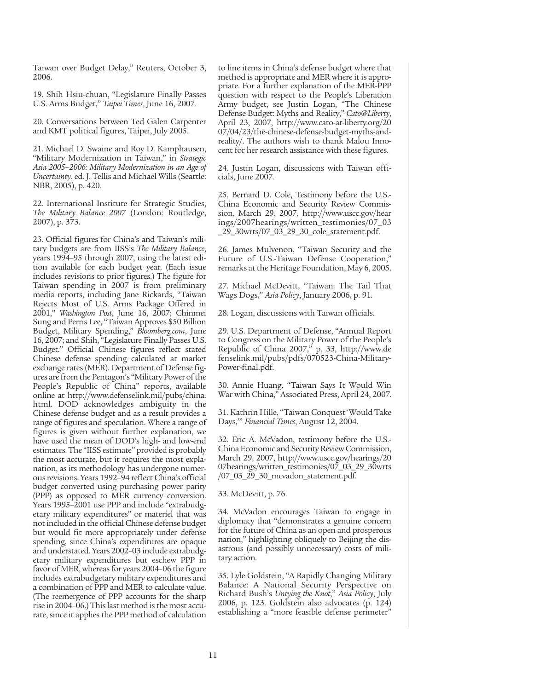Taiwan over Budget Delay," Reuters, October 3, 2006.

19. Shih Hsiu-chuan, "Legislature Finally Passes U.S. Arms Budget," *Taipei Times*, June 16, 2007.

20. Conversations between Ted Galen Carpenter and KMT political figures, Taipei, July 2005.

21. Michael D. Swaine and Roy D. Kamphausen, "Military Modernization in Taiwan," in *Strategic Asia 2005–2006: Military Modernization in an Age of Uncertainty*, ed. J. Tellis and Michael Wills (Seattle: NBR, 2005), p. 420.

22. International Institute for Strategic Studies, *The Military Balance 2007* (London: Routledge, 2007), p. 373.

23. Official figures for China's and Taiwan's military budgets are from IISS's *The Military Balance*, years 1994–95 through 2007, using the latest edition available for each budget year. (Each issue includes revisions to prior figures.) The figure for Taiwan spending in 2007 is from preliminary media reports, including Jane Rickards, "Taiwan Rejects Most of U.S. Arms Package Offered in 2001," *Washington Post*, June 16, 2007; Chinmei Sung and Perris Lee, "Taiwan Approves \$50 Billion Budget, Military Spending," *Bloomberg.com*, June 16, 2007; and Shih, "Legislature Finally Passes U.S. Budget." Official Chinese figures reflect stated Chinese defense spending calculated at market exchange rates (MER). Department of Defense figures are from the Pentagon's "Military Power of the People's Republic of China" reports, available online at http://www.defenselink.mil/pubs/china. html. DOD acknowledges ambiguity in the Chinese defense budget and as a result provides a range of figures and speculation. Where a range of figures is given without further explanation, we have used the mean of DOD's high- and low-end estimates. The "IISS estimate" provided is probably the most accurate, but it requires the most explanation, as its methodology has undergone numerous revisions. Years 1992–94 reflect China's official budget converted using purchasing power parity (PPP) as opposed to MER currency conversion. Years 1995–2001 use PPP and include "extrabudgetary military expenditures" or materiel that was not included in the official Chinese defense budget but would fit more appropriately under defense spending, since China's expenditures are opaque and understated. Years 2002–03 include extrabudgetary military expenditures but eschew PPP in favor of MER, whereas for years 2004–06 the figure includes extrabudgetary military expenditures and a combination of PPP and MER to calculate value. (The reemergence of PPP accounts for the sharp rise in 2004–06.) This last method is the most accurate, since it applies the PPP method of calculation to line items in China's defense budget where that method is appropriate and MER where it is appropriate. For a further explanation of the MER-PPP question with respect to the People's Liberation Army budget, see Justin Logan, "The Chinese Defense Budget: Myths and Reality," *Cato@Liberty*, April 23, 2007, http://www.cato-at-liberty.org/20 07/04/23/the-chinese-defense-budget-myths-andreality/. The authors wish to thank Malou Innocent for her research assistance with these figures.

24. Justin Logan, discussions with Taiwan officials, June 2007.

25. Bernard D. Cole, Testimony before the U.S.- China Economic and Security Review Commission, March 29, 2007, http://www.uscc.gov/hear ings/2007hearings/written\_testimonies/07\_03 \_29\_30wrts/07\_03\_29\_30\_cole\_statement.pdf.

26. James Mulvenon, "Taiwan Security and the Future of U.S.-Taiwan Defense Cooperation," remarks at the Heritage Foundation, May 6, 2005.

27. Michael McDevitt, "Taiwan: The Tail That Wags Dogs," *Asia Policy*, January 2006, p. 91.

28. Logan, discussions with Taiwan officials.

29. U.S. Department of Defense, "Annual Report to Congress on the Military Power of the People's Republic of China 2007," p. 33, http://www.de fenselink.mil/pubs/pdfs/070523-China-Military-Power-final.pdf.

30. Annie Huang, "Taiwan Says It Would Win War with China," Associated Press, April 24, 2007.

31. Kathrin Hille, "Taiwan Conquest 'Would Take Days," Financial Times, August 12, 2004.

32. Eric A. McVadon, testimony before the U.S.- China Economic and Security Review Commission, March 29, 2007, http://www.uscc.gov/hearings/20 07hearings/written\_testimonies/07\_03\_29\_30wrts /07\_03\_29\_30\_mcvadon\_statement.pdf.

33. McDevitt, p. 76.

34. McVadon encourages Taiwan to engage in diplomacy that "demonstrates a genuine concern for the future of China as an open and prosperous nation," highlighting obliquely to Beijing the disastrous (and possibly unnecessary) costs of military action.

35. Lyle Goldstein, "A Rapidly Changing Military Balance: A National Security Perspective on Richard Bush's *Untying the Knot*," *Asia Policy*, July 2006, p. 123. Goldstein also advocates (p. 124) establishing a "more feasible defense perimeter"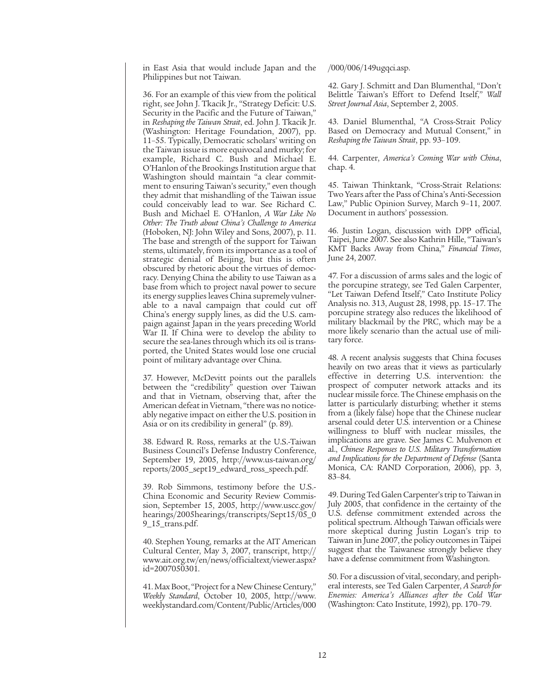in East Asia that would include Japan and the Philippines but not Taiwan.

36. For an example of this view from the political right, see John J. Tkacik Jr., "Strategy Deficit: U.S. Security in the Pacific and the Future of Taiwan," in *Reshaping the Taiwan Strait*, ed. John J. Tkacik Jr. (Washington: Heritage Foundation, 2007), pp. 11–55. Typically, Democratic scholars' writing on the Taiwan issue is more equivocal and murky; for example, Richard C. Bush and Michael E. O'Hanlon of the Brookings Institution argue that Washington should maintain "a clear commitment to ensuring Taiwan's security," even though they admit that mishandling of the Taiwan issue could conceivably lead to war. See Richard C. Bush and Michael E. O'Hanlon, *A War Like No Other: The Truth about China's Challenge to America* (Hoboken, NJ: John Wiley and Sons, 2007), p. 11. The base and strength of the support for Taiwan stems, ultimately, from its importance as a tool of strategic denial of Beijing, but this is often obscured by rhetoric about the virtues of democracy. Denying China the ability to use Taiwan as a base from which to project naval power to secure its energy supplies leaves China supremely vulnerable to a naval campaign that could cut off China's energy supply lines, as did the U.S. campaign against Japan in the years preceding World War II. If China were to develop the ability to secure the sea-lanes through which its oil is transported, the United States would lose one crucial point of military advantage over China.

37. However, McDevitt points out the parallels between the "credibility" question over Taiwan and that in Vietnam, observing that, after the American defeat in Vietnam, "there was no noticeably negative impact on either the U.S. position in Asia or on its credibility in general" (p. 89).

38. Edward R. Ross, remarks at the U.S.-Taiwan Business Council's Defense Industry Conference, September 19, 2005, http://www.us-taiwan.org/ reports/2005\_sept19\_edward\_ross\_speech.pdf.

39. Rob Simmons, testimony before the U.S.- China Economic and Security Review Commission, September 15, 2005, http://www.uscc.gov/ hearings/2005hearings/transcripts/Sept15/05\_0 9\_15\_trans.pdf.

40. Stephen Young, remarks at the AIT American Cultural Center, May 3, 2007, transcript, http:// www.ait.org.tw/en/news/officialtext/viewer.aspx? id=2007050301.

41. Max Boot, "Project for a New Chinese Century," *Weekly Standard*, October 10, 2005, http://www. weeklystandard.com/Content/Public/Articles/000 /000/006/149ugqci.asp.

42. Gary J. Schmitt and Dan Blumenthal, "Don't Belittle Taiwan's Effort to Defend Itself," *Wall Street Journal Asia*, September 2, 2005.

43. Daniel Blumenthal, "A Cross-Strait Policy Based on Democracy and Mutual Consent," in *Reshaping the Taiwan Strait*, pp. 93–109.

44. Carpenter, *America's Coming War with China*, chap. 4.

45. Taiwan Thinktank, "Cross-Strait Relations: Two Years after the Pass of China's Anti-Secession Law," Public Opinion Survey, March 9–11, 2007. Document in authors' possession.

46. Justin Logan, discussion with DPP official, Taipei, June 2007. See also Kathrin Hille, "Taiwan's KMT Backs Away from China," *Financial Times*, June 24, 2007.

47. For a discussion of arms sales and the logic of the porcupine strategy, see Ted Galen Carpenter, "Let Taiwan Defend Itself," Cato Institute Policy Analysis no. 313, August 28, 1998, pp. 15–17. The porcupine strategy also reduces the likelihood of military blackmail by the PRC, which may be a more likely scenario than the actual use of military force.

48. A recent analysis suggests that China focuses heavily on two areas that it views as particularly effective in deterring U.S. intervention: the prospect of computer network attacks and its nuclear missile force. The Chinese emphasis on the latter is particularly disturbing; whether it stems from a (likely false) hope that the Chinese nuclear arsenal could deter U.S. intervention or a Chinese willingness to bluff with nuclear missiles, the implications are grave. See James C. Mulvenon et al., *Chinese Responses to U.S. Military Transformation and Implications for the Department of Defense* (Santa Monica, CA: RAND Corporation, 2006), pp. 3, 83–84.

49. During Ted Galen Carpenter's trip to Taiwan in July 2005, that confidence in the certainty of the U.S. defense commitment extended across the political spectrum. Although Taiwan officials were more skeptical during Justin Logan's trip to Taiwan in June 2007, the policy outcomes in Taipei suggest that the Taiwanese strongly believe they have a defense commitment from Washington.

50. For a discussion of vital, secondary, and peripheral interests, see Ted Galen Carpenter, *A Search for Enemies: America's Alliances after the Cold War* (Washington: Cato Institute, 1992), pp. 170–79.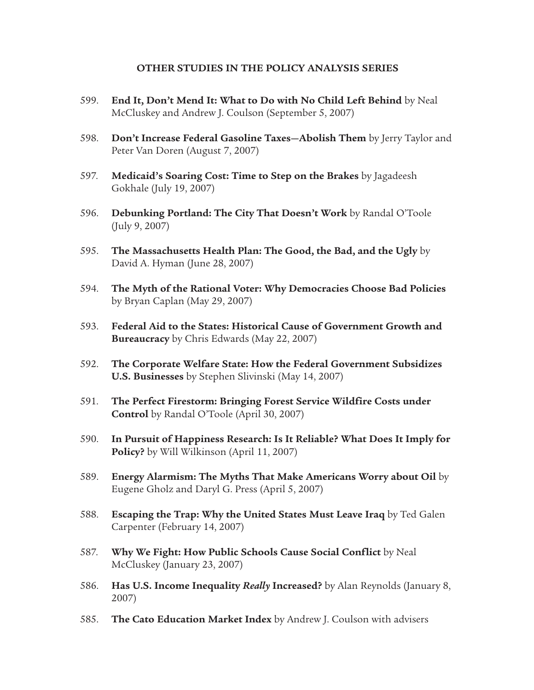#### **OTHER STUDIES IN THE POLICY ANALYSIS SERIES**

- 599. **End It, Don't Mend It: What to Do with No Child Left Behind** by Neal McCluskey and Andrew J. Coulson (September 5, 2007)
- 598. **Don't Increase Federal Gasoline Taxes—Abolish Them** by Jerry Taylor and Peter Van Doren (August 7, 2007)
- 597. **Medicaid's Soaring Cost: Time to Step on the Brakes** by Jagadeesh Gokhale (July 19, 2007)
- 596. **Debunking Portland: The City That Doesn't Work** by Randal O'Toole (July 9, 2007)
- 595. **The Massachusetts Health Plan: The Good, the Bad, and the Ugly** by David A. Hyman (June 28, 2007)
- 594. **The Myth of the Rational Voter: Why Democracies Choose Bad Policies** by Bryan Caplan (May 29, 2007)
- 593. **Federal Aid to the States: Historical Cause of Government Growth and Bureaucracy** by Chris Edwards (May 22, 2007)
- 592. **The Corporate Welfare State: How the Federal Government Subsidizes U.S. Businesses** by Stephen Slivinski (May 14, 2007)
- 591. **The Perfect Firestorm: Bringing Forest Service Wildfire Costs under Control** by Randal O'Toole (April 30, 2007)
- 590. **In Pursuit of Happiness Research: Is It Reliable? What Does It Imply for Policy?** by Will Wilkinson (April 11, 2007)
- 589. **Energy Alarmism: The Myths That Make Americans Worry about Oil** by Eugene Gholz and Daryl G. Press (April 5, 2007)
- 588. **Escaping the Trap: Why the United States Must Leave Iraq** by Ted Galen Carpenter (February 14, 2007)
- 587. **Why We Fight: How Public Schools Cause Social Conflict** by Neal McCluskey (January 23, 2007)
- 586. **Has U.S. Income Inequality** *Really* **Increased?** by Alan Reynolds (January 8, 2007)
- 585. **The Cato Education Market Index** by Andrew J. Coulson with advisers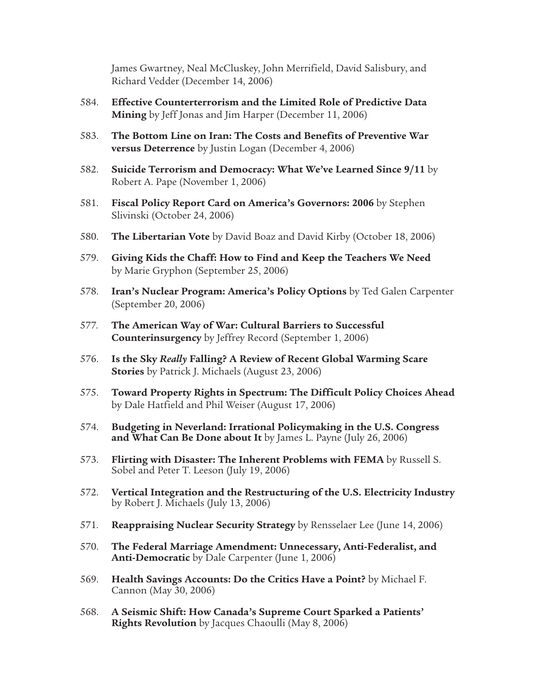James Gwartney, Neal McCluskey, John Merrifield, David Salisbury, and Richard Vedder (December 14, 2006)

- 584. **Effective Counterterrorism and the Limited Role of Predictive Data Mining** by Jeff Jonas and Jim Harper (December 11, 2006)
- 583. **The Bottom Line on Iran: The Costs and Benefits of Preventive War versus Deterrence** by Justin Logan (December 4, 2006)
- 582. **Suicide Terrorism and Democracy: What We've Learned Since 9/11** by Robert A. Pape (November 1, 2006)
- 581. **Fiscal Policy Report Card on America's Governors: 2006** by Stephen Slivinski (October 24, 2006)
- 580. **The Libertarian Vote** by David Boaz and David Kirby (October 18, 2006)
- 579. **Giving Kids the Chaff: How to Find and Keep the Teachers We Need** by Marie Gryphon (September 25, 2006)
- 578. **Iran's Nuclear Program: America's Policy Options** by Ted Galen Carpenter (September 20, 2006)
- 577. **The American Way of War: Cultural Barriers to Successful Counterinsurgency** by Jeffrey Record (September 1, 2006)
- 576. **Is the Sky** *Really* **Falling? A Review of Recent Global Warming Scare Stories** by Patrick J. Michaels (August 23, 2006)
- 575. **Toward Property Rights in Spectrum: The Difficult Policy Choices Ahead**  by Dale Hatfield and Phil Weiser (August 17, 2006)
- 574. **Budgeting in Neverland: Irrational Policymaking in the U.S. Congress and What Can Be Done about It** by James L. Payne (July 26, 2006)
- 573. **Flirting with Disaster: The Inherent Problems with FEMA** by Russell S. Sobel and Peter T. Leeson (July 19, 2006)
- 572. **Vertical Integration and the Restructuring of the U.S. Electricity Industry** by Robert J. Michaels (July 13, 2006)
- 571. **Reappraising Nuclear Security Strategy** by Rensselaer Lee (June 14, 2006)
- 570. **The Federal Marriage Amendment: Unnecessary, Anti-Federalist, and Anti-Democratic** by Dale Carpenter (June 1, 2006)
- 569. **Health Savings Accounts: Do the Critics Have a Point?** by Michael F. Cannon (May 30, 2006)
- 568. **A Seismic Shift: How Canada's Supreme Court Sparked a Patients' Rights Revolution** by Jacques Chaoulli (May 8, 2006)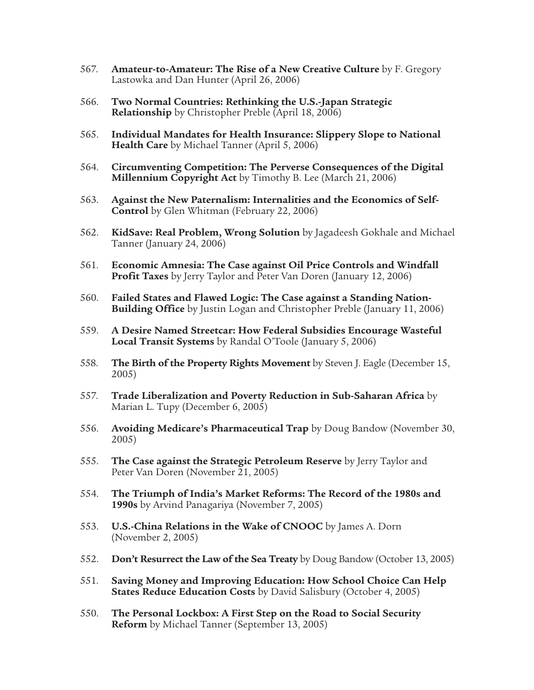- 567. **Amateur-to-Amateur: The Rise of a New Creative Culture** by F. Gregory Lastowka and Dan Hunter (April 26, 2006)
- 566. **Two Normal Countries: Rethinking the U.S.-Japan Strategic Relationship** by Christopher Preble (April 18, 2006)
- 565. **Individual Mandates for Health Insurance: Slippery Slope to National Health Care** by Michael Tanner (April 5, 2006)
- 564. **Circumventing Competition: The Perverse Consequences of the Digital Millennium Copyright Act** by Timothy B. Lee (March 21, 2006)
- 563. **Against the New Paternalism: Internalities and the Economics of Self-Control** by Glen Whitman (February 22, 2006)
- 562. **KidSave: Real Problem, Wrong Solution** by Jagadeesh Gokhale and Michael Tanner (January 24, 2006)
- 561. **Economic Amnesia: The Case against Oil Price Controls and Windfall Profit Taxes** by Jerry Taylor and Peter Van Doren (January 12, 2006)
- 560. **Failed States and Flawed Logic: The Case against a Standing Nation-Building Office** by Justin Logan and Christopher Preble (January 11, 2006)
- 559. **A Desire Named Streetcar: How Federal Subsidies Encourage Wasteful Local Transit Systems** by Randal O'Toole (January 5, 2006)
- 558. **The Birth of the Property Rights Movement** by Steven J. Eagle (December 15, 2005)
- 557. **Trade Liberalization and Poverty Reduction in Sub-Saharan Africa** by Marian L. Tupy (December 6, 2005)
- 556. **Avoiding Medicare's Pharmaceutical Trap** by Doug Bandow (November 30, 2005)
- 555. **The Case against the Strategic Petroleum Reserve** by Jerry Taylor and Peter Van Doren (November 21, 2005)
- 554. **The Triumph of India's Market Reforms: The Record of the 1980s and 1990s** by Arvind Panagariya (November 7, 2005)
- 553. **U.S.-China Relations in the Wake of CNOOC** by James A. Dorn (November 2, 2005)
- 552. **Don't Resurrect the Law of the Sea Treaty** by Doug Bandow (October 13, 2005)
- 551. **Saving Money and Improving Education: How School Choice Can Help States Reduce Education Costs** by David Salisbury (October 4, 2005)
- 550. **The Personal Lockbox: A First Step on the Road to Social Security Reform** by Michael Tanner (September 13, 2005)